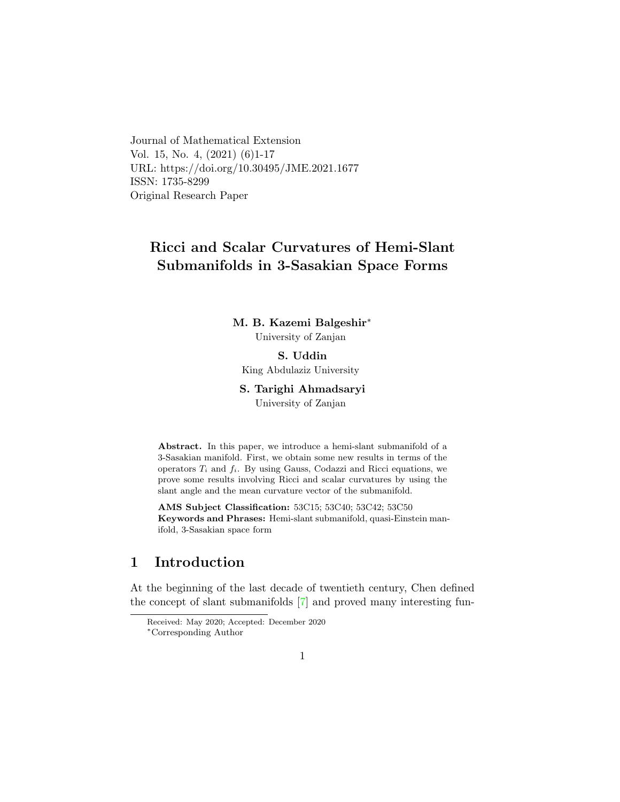Journal of Mathematical Extension Vol. 15, No. 4, (2021) (6)1-17 URL: https://doi.org/10.30495/JME.2021.1677 ISSN: 1735-8299 Original Research Paper

# Ricci and Scalar Curvatures of Hemi-Slant Submanifolds in 3-Sasakian Space Forms

### M. B. Kazemi Balgeshir[∗](#page-0-0) University of Zanjan

S. Uddin King Abdulaziz University

### S. Tarighi Ahmadsaryi

University of Zanjan

Abstract. In this paper, we introduce a hemi-slant submanifold of a 3-Sasakian manifold. First, we obtain some new results in terms of the operators  $T_i$  and  $f_i$ . By using Gauss, Codazzi and Ricci equations, we prove some results involving Ricci and scalar curvatures by using the slant angle and the mean curvature vector of the submanifold.

AMS Subject Classification: 53C15; 53C40; 53C42; 53C50 Keywords and Phrases: Hemi-slant submanifold, quasi-Einstein manifold, 3-Sasakian space form

# 1 Introduction

At the beginning of the last decade of twentieth century, Chen defined the concept of slant submanifolds [\[7\]](#page-15-0) and proved many interesting fun-

Received: May 2020; Accepted: December 2020

<span id="page-0-0"></span><sup>∗</sup>Corresponding Author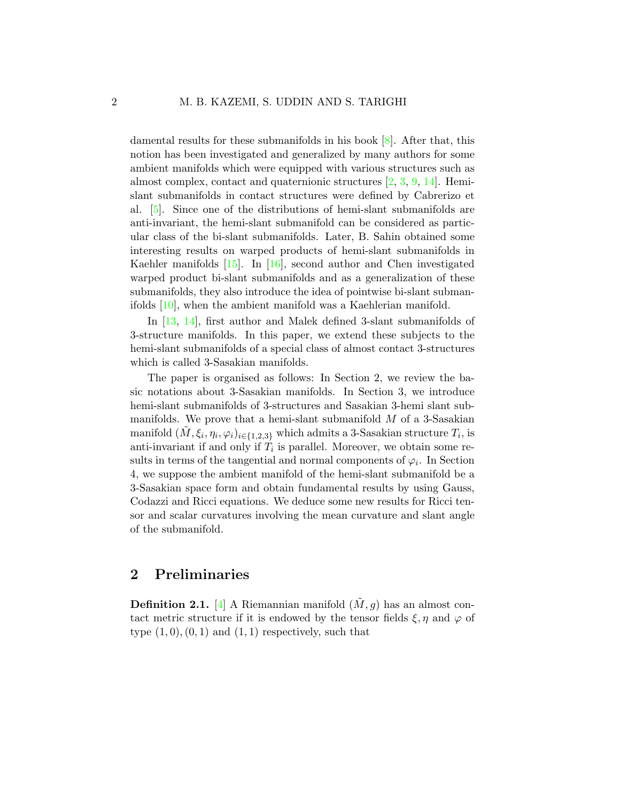damental results for these submanifolds in his book [\[8\]](#page-15-1). After that, this notion has been investigated and generalized by many authors for some ambient manifolds which were equipped with various structures such as almost complex, contact and quaternionic structures [\[2,](#page-14-0) [3,](#page-14-1) [9,](#page-15-2) [14\]](#page-15-3). Hemislant submanifolds in contact structures were defined by Cabrerizo et al. [\[5\]](#page-14-2). Since one of the distributions of hemi-slant submanifolds are anti-invariant, the hemi-slant submanifold can be considered as particular class of the bi-slant submanifolds. Later, B. Sahin obtained some interesting results on warped products of hemi-slant submanifolds in Kaehler manifolds [\[15\]](#page-15-4). In [\[16\]](#page-15-5), second author and Chen investigated warped product bi-slant submanifolds and as a generalization of these submanifolds, they also introduce the idea of pointwise bi-slant submanifolds [\[10\]](#page-15-6), when the ambient manifold was a Kaehlerian manifold.

In [\[13,](#page-15-7) [14\]](#page-15-3), first author and Malek defined 3-slant submanifolds of 3-structure manifolds. In this paper, we extend these subjects to the hemi-slant submanifolds of a special class of almost contact 3-structures which is called 3-Sasakian manifolds.

The paper is organised as follows: In Section 2, we review the basic notations about 3-Sasakian manifolds. In Section 3, we introduce hemi-slant submanifolds of 3-structures and Sasakian 3-hemi slant submanifolds. We prove that a hemi-slant submanifold  $M$  of a 3-Sasakian manifold  $(\tilde{M}, \xi_i, \eta_i, \varphi_i)_{i \in \{1,2,3\}}$  which admits a 3-Sasakian structure  $T_i$ , is anti-invariant if and only if  $T_i$  is parallel. Moreover, we obtain some results in terms of the tangential and normal components of  $\varphi_i$ . In Section 4, we suppose the ambient manifold of the hemi-slant submanifold be a 3-Sasakian space form and obtain fundamental results by using Gauss, Codazzi and Ricci equations. We deduce some new results for Ricci tensor and scalar curvatures involving the mean curvature and slant angle of the submanifold.

# 2 Preliminaries

**Definition 2.1.** [\[4\]](#page-14-3) A Riemannian manifold  $(\tilde{M}, g)$  has an almost contact metric structure if it is endowed by the tensor fields  $\xi, \eta$  and  $\varphi$  of type  $(1,0), (0,1)$  and  $(1,1)$  respectively, such that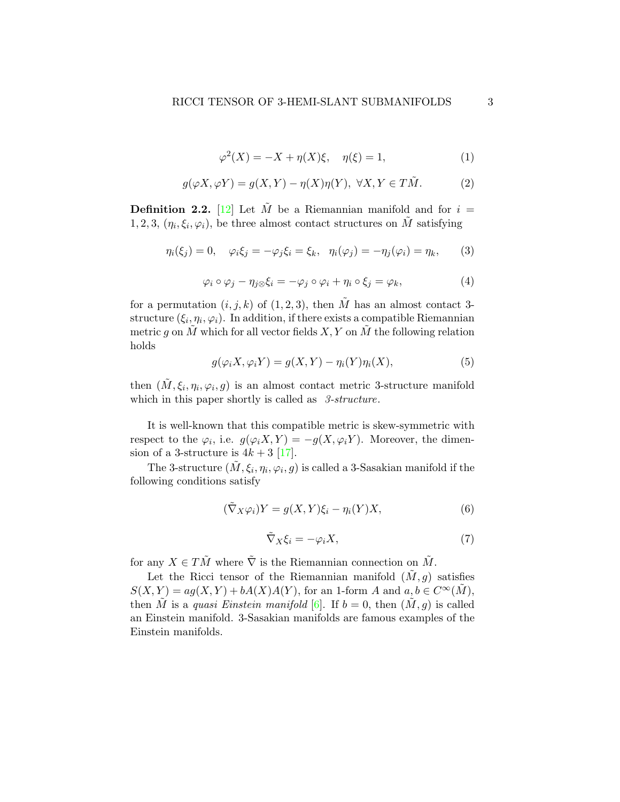$$
\varphi^{2}(X) = -X + \eta(X)\xi, \quad \eta(\xi) = 1,
$$
\n(1)

$$
g(\varphi X, \varphi Y) = g(X, Y) - \eta(X)\eta(Y), \ \forall X, Y \in T\tilde{M}.
$$
 (2)

**Definition 2.2.** [\[12\]](#page-15-8) Let  $\tilde{M}$  be a Riemannian manifold and for  $i =$ 1, 2, 3,  $(\eta_i, \xi_i, \varphi_i)$ , be three almost contact structures on  $\tilde{M}$  satisfying

$$
\eta_i(\xi_j) = 0, \quad \varphi_i \xi_j = -\varphi_j \xi_i = \xi_k, \quad \eta_i(\varphi_j) = -\eta_j(\varphi_i) = \eta_k, \tag{3}
$$

$$
\varphi_i \circ \varphi_j - \eta_j \otimes \xi_i = -\varphi_j \circ \varphi_i + \eta_i \circ \xi_j = \varphi_k, \tag{4}
$$

for a permutation  $(i, j, k)$  of  $(1, 2, 3)$ , then  $\tilde{M}$  has an almost contact 3structure  $(\xi_i, \eta_i, \varphi_i)$ . In addition, if there exists a compatible Riemannian metric g on M which for all vector fields  $X, Y$  on M the following relation holds

<span id="page-2-1"></span>
$$
g(\varphi_i X, \varphi_i Y) = g(X, Y) - \eta_i(Y)\eta_i(X), \qquad (5)
$$

then  $(\tilde{M}, \xi_i, \eta_i, \varphi_i, g)$  is an almost contact metric 3-structure manifold which in this paper shortly is called as 3-structure.

It is well-known that this compatible metric is skew-symmetric with respect to the  $\varphi_i$ , i.e.  $g(\varphi_i X, Y) = -g(X, \varphi_i Y)$ . Moreover, the dimension of a 3-structure is  $4k + 3$  [\[17\]](#page-15-9).

The 3-structure  $(\tilde{M}, \xi_i, \eta_i, \varphi_i, g)$  is called a 3-Sasakian manifold if the following conditions satisfy

$$
(\tilde{\nabla}_X \varphi_i) Y = g(X, Y) \xi_i - \eta_i(Y) X,\tag{6}
$$

<span id="page-2-0"></span>
$$
\tilde{\nabla}_X \xi_i = -\varphi_i X,\tag{7}
$$

for any  $X \in T\tilde{M}$  where  $\tilde{\nabla}$  is the Riemannian connection on  $\tilde{M}$ .

Let the Ricci tensor of the Riemannian manifold  $(\tilde{M}, g)$  satisfies  $S(X, Y) = ag(X, Y) + bA(X)A(Y)$ , for an 1-form A and  $a, b \in C^{\infty}(\tilde{M})$ , then M is a quasi Einstein manifold [\[6\]](#page-14-4). If  $b = 0$ , then  $(M, g)$  is called an Einstein manifold. 3-Sasakian manifolds are famous examples of the Einstein manifolds.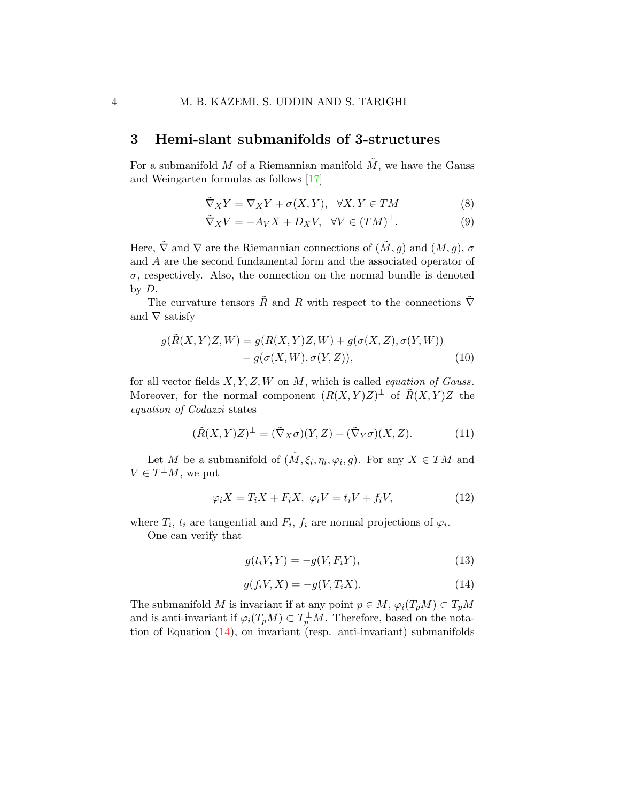## 3 Hemi-slant submanifolds of 3-structures

For a submanifold M of a Riemannian manifold  $\tilde{M}$ , we have the Gauss and Weingarten formulas as follows [\[17\]](#page-15-9)

<span id="page-3-3"></span>
$$
\tilde{\nabla}_X Y = \nabla_X Y + \sigma(X, Y), \quad \forall X, Y \in TM \tag{8}
$$

$$
\tilde{\nabla}_X V = -A_V X + D_X V, \quad \forall V \in (TM)^{\perp}.
$$
\n(9)

Here,  $\tilde{\nabla}$  and  $\nabla$  are the Riemannian connections of  $(\tilde{M}, g)$  and  $(M, g)$ ,  $\sigma$ and A are the second fundamental form and the associated operator of  $\sigma$ , respectively. Also, the connection on the normal bundle is denoted by D.

The curvature tensors  $\tilde{R}$  and  $R$  with respect to the connections  $\tilde{\nabla}$ and  $\nabla$  satisfy

$$
g(\tilde{R}(X,Y)Z,W) = g(R(X,Y)Z,W) + g(\sigma(X,Z), \sigma(Y,W))
$$
  
- 
$$
g(\sigma(X,W), \sigma(Y,Z)),
$$
 (10)

for all vector fields  $X, Y, Z, W$  on  $M$ , which is called *equation of Gauss*. Moreover, for the normal component  $(R(X, Y)Z)^{\perp}$  of  $\tilde{R}(X, Y)Z$  the equation of Codazzi states

<span id="page-3-2"></span>
$$
(\tilde{R}(X,Y)Z)^{\perp} = (\tilde{\nabla}_X \sigma)(Y,Z) - (\tilde{\nabla}_Y \sigma)(X,Z). \tag{11}
$$

Let M be a submanifold of  $(\tilde{M}, \xi_i, \eta_i, \varphi_i, g)$ . For any  $X \in TM$  and  $V \in T^{\perp}M$ , we put

<span id="page-3-1"></span>
$$
\varphi_i X = T_i X + F_i X, \ \varphi_i V = t_i V + f_i V,\tag{12}
$$

where  $T_i$ ,  $t_i$  are tangential and  $F_i$ ,  $f_i$  are normal projections of  $\varphi_i$ .

One can verify that

$$
g(t_i V, Y) = -g(V, F_i Y),\tag{13}
$$

<span id="page-3-0"></span>
$$
g(f_i V, X) = -g(V, T_i X). \tag{14}
$$

The submanifold M is invariant if at any point  $p \in M$ ,  $\varphi_i(T_pM) \subset T_pM$ and is anti-invariant if  $\varphi_i(T_pM) \subset T_p^{\perp}M$ . Therefore, based on the notation of Equation [\(14\)](#page-3-0), on invariant (resp. anti-invariant) submanifolds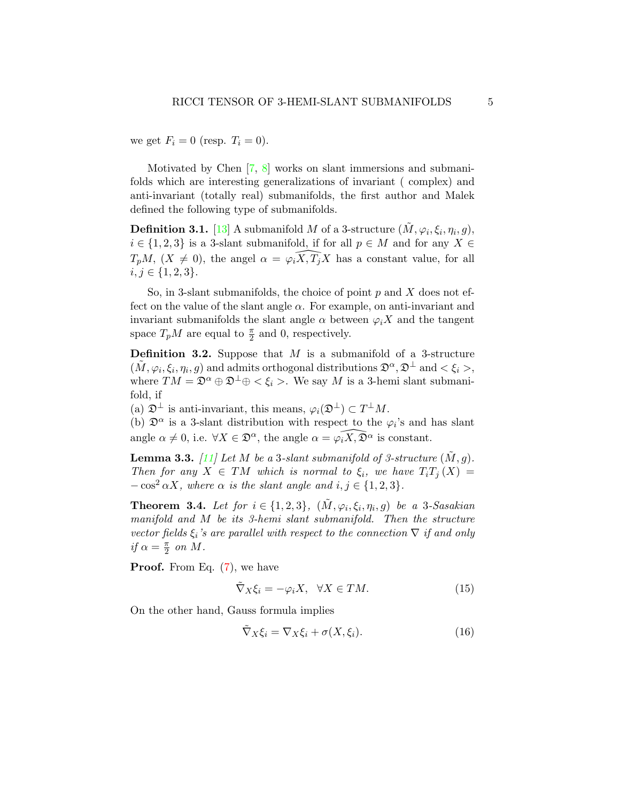we get  $F_i = 0$  (resp.  $T_i = 0$ ).

Motivated by Chen [\[7,](#page-15-0) [8\]](#page-15-1) works on slant immersions and submanifolds which are interesting generalizations of invariant ( complex) and anti-invariant (totally real) submanifolds, the first author and Malek defined the following type of submanifolds.

**Definition 3.1.** [\[13\]](#page-15-7) A submanifold M of a 3-structure  $(\tilde{M}, \varphi_i, \xi_i, \eta_i, g),$  $i \in \{1, 2, 3\}$  is a 3-slant submanifold, if for all  $p \in M$  and for any  $X \in$  $T_pM$ ,  $(X \neq 0)$ , the angel  $\alpha = \widehat{\varphi_i X, T_j X}$  has a constant value, for all  $i, j \in \{1, 2, 3\}.$ 

So, in 3-slant submanifolds, the choice of point  $p$  and  $X$  does not effect on the value of the slant angle  $\alpha$ . For example, on anti-invariant and invariant submanifolds the slant angle  $\alpha$  between  $\varphi_i X$  and the tangent space  $T_pM$  are equal to  $\frac{\pi}{2}$  and 0, respectively.

**Definition 3.2.** Suppose that  $M$  is a submanifold of a 3-structure  $(\tilde{M}, \varphi_i, \xi_i, \eta_i, g)$  and admits orthogonal distributions  $\mathfrak{D}^{\alpha}, \mathfrak{D}^{\perp}$  and  $\lt \xi_i >$ , where  $TM = \mathfrak{D}^{\alpha} \oplus \mathfrak{D}^{\perp} \oplus \langle \xi_i \rangle$ . We say M is a 3-hemi slant submanifold, if

(a)  $\mathfrak{D}^{\perp}$  is anti-invariant, this means,  $\varphi_i(\mathfrak{D}^{\perp}) \subset T^{\perp}M$ .

(b)  $\mathfrak{D}^{\alpha}$  is a 3-slant distribution with respect to the  $\varphi_i$ 's and has slant angle  $\alpha \neq 0$ , i.e.  $\forall X \in \mathfrak{D}^{\alpha}$ , the angle  $\alpha = \widehat{\varphi_i X, \mathfrak{D}^{\alpha}}$  is constant.

<span id="page-4-2"></span>**Lemma 3.3.** [\[11\]](#page-15-10) Let M be a 3-slant submanifold of 3-structure  $(M, g)$ . Then for any  $X \in TM$  which is normal to  $\xi_i$ , we have  $T_iT_j(X) =$  $-\cos^2 \alpha X$ , where  $\alpha$  is the slant angle and  $i, j \in \{1, 2, 3\}.$ 

**Theorem 3.4.** Let for  $i \in \{1, 2, 3\}$ ,  $(\tilde{M}, \varphi_i, \xi_i, \eta_i, g)$  be a 3-Sasakian manifold and M be its 3-hemi slant submanifold. Then the structure vector fields  $\xi_i$ 's are parallel with respect to the connection  $\nabla$  if and only if  $\alpha = \frac{\pi}{2}$  $\frac{\pi}{2}$  on M.

**Proof.** From Eq.  $(7)$ , we have

<span id="page-4-0"></span>
$$
\tilde{\nabla}_X \xi_i = -\varphi_i X, \quad \forall X \in TM.
$$
\n(15)

On the other hand, Gauss formula implies

<span id="page-4-1"></span>
$$
\tilde{\nabla}_X \xi_i = \nabla_X \xi_i + \sigma(X, \xi_i). \tag{16}
$$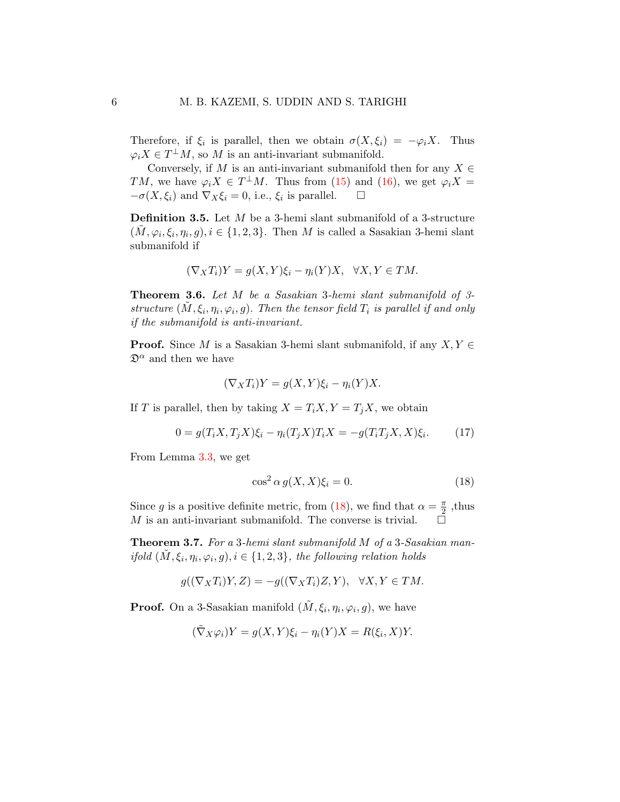Therefore, if  $\xi_i$  is parallel, then we obtain  $\sigma(X, \xi_i) = -\varphi_i X$ . Thus  $\varphi_i X \in T^{\perp}M$ , so M is an anti-invariant submanifold.

Conversely, if M is an anti-invariant submanifold then for any  $X \in$ TM, we have  $\varphi_i X \in T^{\perp}M$ . Thus from [\(15\)](#page-4-0) and [\(16\)](#page-4-1), we get  $\varphi_i X =$  $-\sigma(X,\xi_i)$  and  $\nabla_X \xi_i = 0$ , i.e.,  $\xi_i$  is parallel.  $\square$ 

**Definition 3.5.** Let  $M$  be a 3-hemi slant submanifold of a 3-structure  $(\tilde{M}, \varphi_i, \xi_i, \eta_i, g), i \in \{1, 2, 3\}.$  Then M is called a Sasakian 3-hemi slant submanifold if

$$
(\nabla_X T_i)Y = g(X, Y)\xi_i - \eta_i(Y)X, \quad \forall X, Y \in TM.
$$

Theorem 3.6. Let M be a Sasakian 3-hemi slant submanifold of 3 structure  $(\tilde{M}, \xi_i, \eta_i, \varphi_i, g)$ . Then the tensor field  $T_i$  is parallel if and only if the submanifold is anti-invariant.

**Proof.** Since M is a Sasakian 3-hemi slant submanifold, if any  $X, Y \in$  $\mathfrak{D}^{\alpha}$  and then we have

$$
(\nabla_X T_i)Y = g(X, Y)\xi_i - \eta_i(Y)X.
$$

If T is parallel, then by taking  $X = T_i X, Y = T_j X$ , we obtain

$$
0 = g(T_i X, T_j X)\xi_i - \eta_i(T_j X)T_i X = -g(T_i T_j X, X)\xi_i.
$$
 (17)

From Lemma [3.3,](#page-4-2) we get

<span id="page-5-0"></span>
$$
\cos^2 \alpha g(X, X)\xi_i = 0. \tag{18}
$$

Since g is a positive definite metric, from [\(18\)](#page-5-0), we find that  $\alpha = \frac{\pi}{2}$  $\frac{\pi}{2}$ , thus M is an anti-invariant submanifold. The converse is trivial.  $\Box$ 

Theorem 3.7. For a 3-hemi slant submanifold M of a 3-Sasakian manifold  $(\tilde{M}, \xi_i, \eta_i, \varphi_i, g), i \in \{1, 2, 3\}$ , the following relation holds

$$
g((\nabla_X T_i)Y, Z) = -g((\nabla_X T_i)Z, Y), \quad \forall X, Y \in TM.
$$

**Proof.** On a 3-Sasakian manifold  $(\tilde{M}, \xi_i, \eta_i, \varphi_i, g)$ , we have

$$
(\tilde{\nabla}_X \varphi_i) Y = g(X, Y) \xi_i - \eta_i(Y) X = R(\xi_i, X) Y.
$$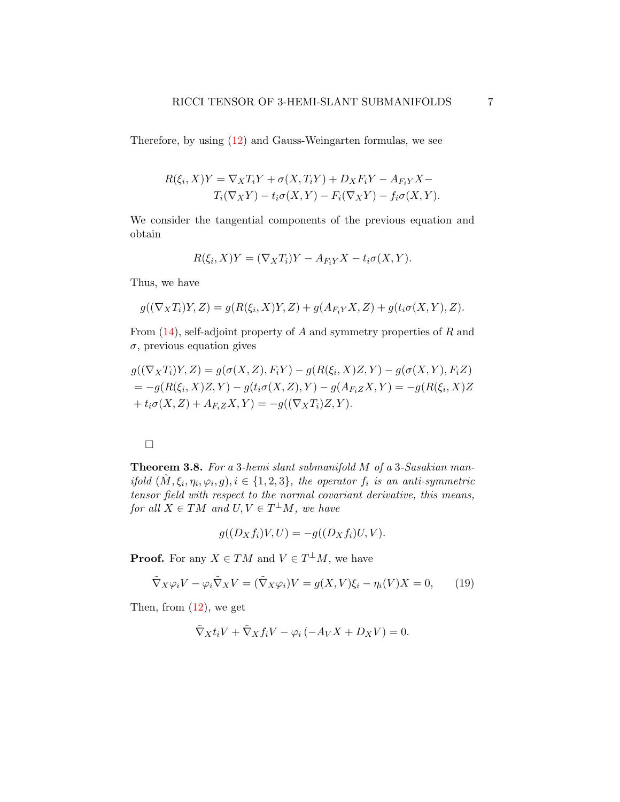Therefore, by using [\(12\)](#page-3-1) and Gauss-Weingarten formulas, we see

$$
R(\xi_i, X)Y = \nabla_X T_i Y + \sigma(X, T_i Y) + D_X F_i Y - A_{F_i Y} X -
$$
  
\n
$$
T_i(\nabla_X Y) - t_i \sigma(X, Y) - F_i(\nabla_X Y) - f_i \sigma(X, Y).
$$

We consider the tangential components of the previous equation and obtain

$$
R(\xi_i, X)Y = (\nabla_X T_i)Y - A_{F_iY}X - t_i\sigma(X, Y).
$$

Thus, we have

$$
g((\nabla_XT_i)Y,Z)=g(R(\xi_i,X)Y,Z)+g(A_{F_iY}X,Z)+g(t_i\sigma(X,Y),Z).
$$

From  $(14)$ , self-adjoint property of A and symmetry properties of R and  $\sigma$ , previous equation gives

$$
g((\nabla_X T_i)Y, Z) = g(\sigma(X, Z), F_iY) - g(R(\xi_i, X)Z, Y) - g(\sigma(X, Y), F_iZ)
$$
  
=  $-g(R(\xi_i, X)Z, Y) - g(t_i\sigma(X, Z), Y) - g(A_{F_iZ}X, Y) = -g(R(\xi_i, X)Z)$   
+  $t_i\sigma(X, Z) + A_{F_iZ}X, Y) = -g((\nabla_X T_i)Z, Y).$ 

### $\Box$

Theorem 3.8. For a 3-hemi slant submanifold M of a 3-Sasakian manifold  $(\tilde{M}, \xi_i, \eta_i, \varphi_i, g), i \in \{1, 2, 3\}$ , the operator  $f_i$  is an anti-symmetric tensor field with respect to the normal covariant derivative, this means, for all  $X \in TM$  and  $U, V \in T^{\perp}M$ , we have

<span id="page-6-0"></span>
$$
g((D_Xf_i)V,U) = -g((D_Xf_i)U,V).
$$

**Proof.** For any  $X \in TM$  and  $V \in T^{\perp}M$ , we have

$$
\tilde{\nabla}_X \varphi_i V - \varphi_i \tilde{\nabla}_X V = (\tilde{\nabla}_X \varphi_i) V = g(X, V) \xi_i - \eta_i(V) X = 0, \qquad (19)
$$

Then, from  $(12)$ , we get

$$
\tilde{\nabla}_X t_i V + \tilde{\nabla}_X f_i V - \varphi_i \left( -A_V X + D_X V \right) = 0.
$$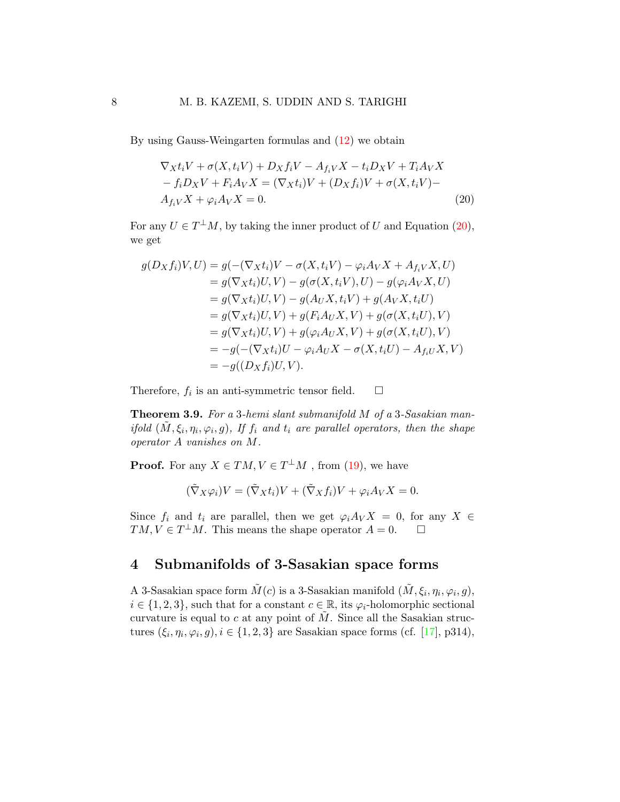By using Gauss-Weingarten formulas and [\(12\)](#page-3-1) we obtain

<span id="page-7-0"></span>
$$
\nabla_X t_i V + \sigma(X, t_i V) + D_X f_i V - A_{f_i V} X - t_i D_X V + T_i A_V X
$$
  
\n
$$
- f_i D_X V + F_i A_V X = (\nabla_X t_i) V + (D_X f_i) V + \sigma(X, t_i V) - A_{f_i V} X + \varphi_i A_V X = 0.
$$
\n(20)

For any  $U \in T^{\perp}M$ , by taking the inner product of U and Equation [\(20\)](#page-7-0), we get

$$
g(D_X f_i)V, U) = g(-( \nabla_X t_i)V - \sigma(X, t_iV) - \varphi_i A_V X + A_{f_iV} X, U)
$$
  
\n
$$
= g(\nabla_X t_i)U, V) - g(\sigma(X, t_iV), U) - g(\varphi_i A_V X, U)
$$
  
\n
$$
= g(\nabla_X t_i)U, V) - g(A_U X, t_iV) + g(A_V X, t_iU)
$$
  
\n
$$
= g(\nabla_X t_i)U, V) + g(F_i A_U X, V) + g(\sigma(X, t_iU), V)
$$
  
\n
$$
= g(\nabla_X t_i)U, V) + g(\varphi_i A_U X, V) + g(\sigma(X, t_iU), V)
$$
  
\n
$$
= -g(-(\nabla_X t_i)U - \varphi_i A_U X - \sigma(X, t_iU) - A_{f_iU} X, V)
$$
  
\n
$$
= -g((D_X f_i)U, V).
$$

Therefore,  $f_i$  is an anti-symmetric tensor field.  $\Box$ 

Theorem 3.9. For a 3-hemi slant submanifold M of a 3-Sasakian manifold  $(\tilde{M}, \xi_i, \eta_i, \varphi_i, g)$ , If  $f_i$  and  $t_i$  are parallel operators, then the shape operator A vanishes on M.

**Proof.** For any  $X \in TM, V \in T^{\perp}M$ , from [\(19\)](#page-6-0), we have

$$
(\tilde{\nabla}_X \varphi_i)V = (\tilde{\nabla}_X t_i)V + (\tilde{\nabla}_X f_i)V + \varphi_i A_V X = 0.
$$

Since  $f_i$  and  $t_i$  are parallel, then we get  $\varphi_i A_V X = 0$ , for any  $X \in$  $TM, V \in T^{\perp}M$ . This means the shape operator  $A = 0$ .  $\square$ 

# 4 Submanifolds of 3-Sasakian space forms

A 3-Sasakian space form  $\tilde{M}(c)$  is a 3-Sasakian manifold  $(\tilde{M}, \xi_i, \eta_i, \varphi_i, g)$ ,  $i \in \{1, 2, 3\}$ , such that for a constant  $c \in \mathbb{R}$ , its  $\varphi_i$ -holomorphic sectional curvature is equal to c at any point of  $\tilde{M}$ . Since all the Sasakian structures  $(\xi_i, \eta_i, \varphi_i, g), i \in \{1, 2, 3\}$  are Sasakian space forms (cf. [\[17\]](#page-15-9), p314),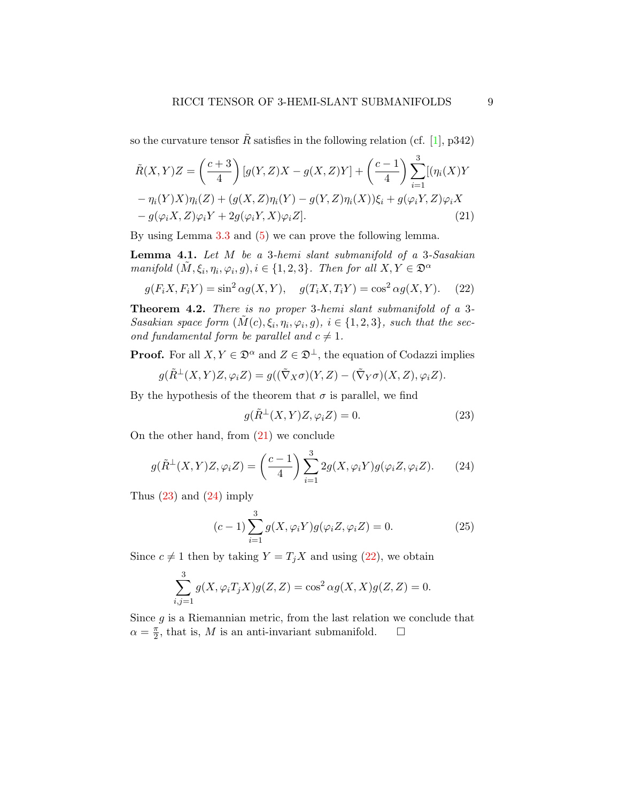so the curvature tensor  $\tilde{R}$  satisfies in the following relation (cf. [\[1\]](#page-14-5), p342)

$$
\tilde{R}(X,Y)Z = \left(\frac{c+3}{4}\right)[g(Y,Z)X - g(X,Z)Y] + \left(\frac{c-1}{4}\right)\sum_{i=1}^{3}[(\eta_i(X)Y - \eta_i(Y)X)\eta_i(Z) + (g(X,Z)\eta_i(Y) - g(Y,Z)\eta_i(X))\xi_i + g(\varphi_i Y, Z)\varphi_i X - g(\varphi_i X, Z)\varphi_i Y + 2g(\varphi_i Y, X)\varphi_i Z].
$$
\n(21)

By using Lemma [3.3](#page-4-2) and [\(5\)](#page-2-1) we can prove the following lemma.

<span id="page-8-4"></span>**Lemma 4.1.** Let  $M$  be a 3-hemi slant submanifold of a 3-Sasakian manifold  $(\tilde{M}, \xi_i, \eta_i, \varphi_i, g), i \in \{1, 2, 3\}$ . Then for all  $X, Y \in \mathfrak{D}^{\alpha}$ 

<span id="page-8-3"></span>
$$
g(F_iX, F_iY) = \sin^2 \alpha g(X, Y), \quad g(T_iX, T_iY) = \cos^2 \alpha g(X, Y). \tag{22}
$$

Theorem 4.2. There is no proper 3-hemi slant submanifold of a 3-Sasakian space form  $(\tilde{M}(c), \xi_i, \eta_i, \varphi_i, g), i \in \{1, 2, 3\}$ , such that the second fundamental form be parallel and  $c \neq 1$ .

**Proof.** For all  $X, Y \in \mathfrak{D}^{\alpha}$  and  $Z \in \mathfrak{D}^{\perp}$ , the equation of Codazzi implies

$$
g(\tilde{R}^{\perp}(X,Y)Z,\varphi_i Z) = g((\tilde{\nabla}_X \sigma)(Y,Z) - (\tilde{\nabla}_Y \sigma)(X,Z),\varphi_i Z).
$$

By the hypothesis of the theorem that  $\sigma$  is parallel, we find

<span id="page-8-1"></span><span id="page-8-0"></span>
$$
g(\tilde{R}^{\perp}(X,Y)Z,\varphi_i Z) = 0.
$$
\n(23)

On the other hand, from [\(21\)](#page-8-0) we conclude

<span id="page-8-2"></span>
$$
g(\tilde{R}^{\perp}(X,Y)Z,\varphi_i Z) = \left(\frac{c-1}{4}\right) \sum_{i=1}^3 2g(X,\varphi_i Y)g(\varphi_i Z, \varphi_i Z). \tag{24}
$$

Thus  $(23)$  and  $(24)$  imply

$$
(c-1)\sum_{i=1}^{3} g(X, \varphi_i Y)g(\varphi_i Z, \varphi_i Z) = 0.
$$
 (25)

Since  $c \neq 1$  then by taking  $Y = T_j X$  and using [\(22\)](#page-8-3), we obtain

$$
\sum_{i,j=1}^{3} g(X, \varphi_i T_j X) g(Z, Z) = \cos^2 \alpha g(X, X) g(Z, Z) = 0.
$$

Since  $g$  is a Riemannian metric, from the last relation we conclude that  $\alpha = \frac{\pi}{2}$  $\frac{\pi}{2}$ , that is, M is an anti-invariant submanifold.  $\square$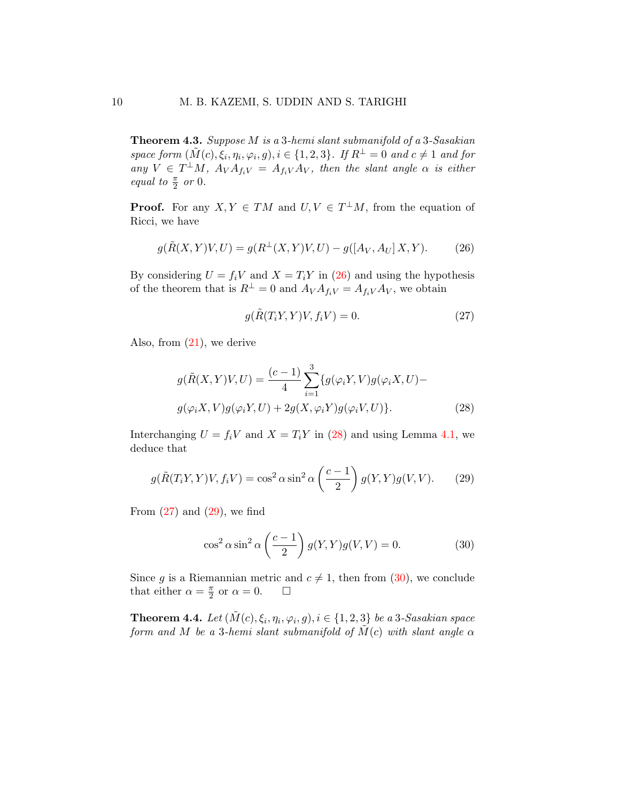Theorem 4.3. Suppose M is a 3-hemi slant submanifold of a 3-Sasakian space form  $(\tilde{M}(c), \xi_i, \eta_i, \varphi_i, g), i \in \{1, 2, 3\}$ . If  $R^{\perp} = 0$  and  $c \neq 1$  and for any  $V \in T^{\perp}M$ ,  $A_V A_{f_iV} = A_{f_iV} A_V$ , then the slant angle  $\alpha$  is either equal to  $\frac{\pi}{2}$  or 0.

**Proof.** For any  $X, Y \in TM$  and  $U, V \in T^{\perp}M$ , from the equation of Ricci, we have

<span id="page-9-0"></span>
$$
g(\tilde{R}(X,Y)V,U) = g(R^{\perp}(X,Y)V,U) - g([A_V, A_U]X,Y).
$$
 (26)

By considering  $U = f_i V$  and  $X = T_i Y$  in [\(26\)](#page-9-0) and using the hypothesis of the theorem that is  $R^{\perp} = 0$  and  $A_V A_{f_iV} = A_{f_iV} A_V$ , we obtain

<span id="page-9-2"></span><span id="page-9-1"></span>
$$
g(\tilde{R}(T_iY, Y)V, f_iV) = 0.
$$
\n(27)

Also, from  $(21)$ , we derive

$$
g(\tilde{R}(X,Y)V,U) = \frac{(c-1)}{4} \sum_{i=1}^{3} \{g(\varphi_i Y, V)g(\varphi_i X, U) - g(\varphi_i X, V)g(\varphi_i Y, U) + 2g(X, \varphi_i Y)g(\varphi_i V, U)\}.
$$
\n(28)

Interchanging  $U = f_iV$  and  $X = T_iY$  in [\(28\)](#page-9-1) and using Lemma [4.1,](#page-8-4) we deduce that

$$
g(\tilde{R}(T_iY,Y)V, f_iV) = \cos^2 \alpha \sin^2 \alpha \left(\frac{c-1}{2}\right) g(Y,Y)g(V,V). \tag{29}
$$

From  $(27)$  and  $(29)$ , we find

<span id="page-9-4"></span><span id="page-9-3"></span>
$$
\cos^2 \alpha \sin^2 \alpha \left(\frac{c-1}{2}\right) g(Y,Y)g(V,V) = 0.
$$
 (30)

Since g is a Riemannian metric and  $c \neq 1$ , then from [\(30\)](#page-9-4), we conclude that either  $\alpha = \frac{\pi}{2}$  $\frac{\pi}{2}$  or  $\alpha = 0$ .  $\Box$ 

**Theorem 4.4.** Let  $(\tilde{M}(c), \xi_i, \eta_i, \varphi_i, g), i \in \{1, 2, 3\}$  be a 3-Sasakian space form and M be a 3-hemi slant submanifold of  $\tilde{M}(c)$  with slant angle  $\alpha$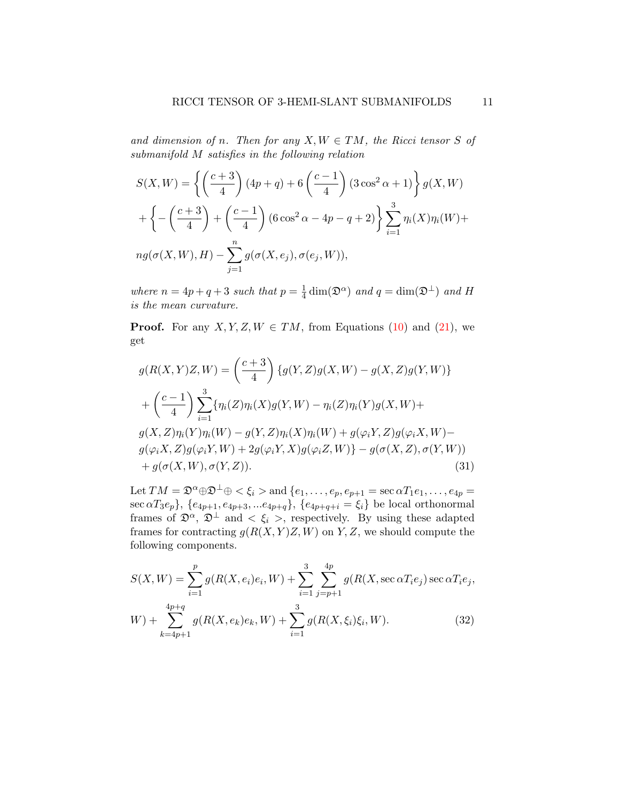and dimension of n. Then for any  $X, W \in TM$ , the Ricci tensor S of submanifold M satisfies in the following relation

$$
S(X, W) = \left\{ \left( \frac{c+3}{4} \right) (4p+q) + 6 \left( \frac{c-1}{4} \right) (3\cos^2 \alpha + 1) \right\} g(X, W)
$$

$$
+ \left\{ - \left( \frac{c+3}{4} \right) + \left( \frac{c-1}{4} \right) (6\cos^2 \alpha - 4p - q + 2) \right\} \sum_{i=1}^3 \eta_i(X) \eta_i(W) +
$$

$$
ng(\sigma(X, W), H) - \sum_{j=1}^n g(\sigma(X, e_j), \sigma(e_j, W)),
$$

where  $n = 4p + q + 3$  such that  $p = \frac{1}{4}$  $\frac{1}{4}\dim(\mathfrak{D}^{\alpha})$  and  $q = \dim(\mathfrak{D}^{\perp})$  and H is the mean curvature.

**Proof.** For any  $X, Y, Z, W \in TM$ , from Equations [\(10\)](#page-3-2) and [\(21\)](#page-8-0), we get

$$
g(R(X, Y)Z, W) = {c+3 \choose 4} \{g(Y, Z)g(X, W) - g(X, Z)g(Y, W)\} + {c-1 \choose 4} \sum_{i=1}^{3} \{\eta_i(Z)\eta_i(X)g(Y, W) - \eta_i(Z)\eta_i(Y)g(X, W) + g(X, Z)\eta_i(Y)\eta_i(W) - g(Y, Z)\eta_i(X)\eta_i(W) + g(\varphi_i Y, Z)g(\varphi_i X, W) - g(\varphi_i X, Z)g(\varphi_i Y, W) + 2g(\varphi_i Y, X)g(\varphi_i Z, W) - g(\sigma(X, Z), \sigma(Y, W)) + g(\sigma(X, W), \sigma(Y, Z)).
$$
\n(31)

<span id="page-10-0"></span>Let  $TM = \mathfrak{D}^{\alpha} \oplus \mathfrak{D}^{\perp} \oplus \langle \xi_i \rangle$  and  $\{e_1, \ldots, e_p, e_{p+1} = \sec \alpha T_1 e_1, \ldots, e_{4p} =$  $\sec \alpha T_3e_p\},\, \{e_{4p+1}, e_{4p+3},...e_{4p+q}\},\, \{e_{4p+q+i}=\xi_i\}$  be local orthonormal frames of  $\mathfrak{D}^{\alpha}$ ,  $\mathfrak{D}^{\perp}$  and  $\lt \xi_i$ , respectively. By using these adapted frames for contracting  $g(R(X, Y)Z, W)$  on Y, Z, we should compute the following components.

<span id="page-10-1"></span>
$$
S(X, W) = \sum_{i=1}^{p} g(R(X, e_i)e_i, W) + \sum_{i=1}^{3} \sum_{j=p+1}^{4p} g(R(X, \sec \alpha T_i e_j) \sec \alpha T_i e_j,
$$
  
\n
$$
W) + \sum_{k=4p+1}^{4p+q} g(R(X, e_k)e_k, W) + \sum_{i=1}^{3} g(R(X, \xi_i)\xi_i, W).
$$
 (32)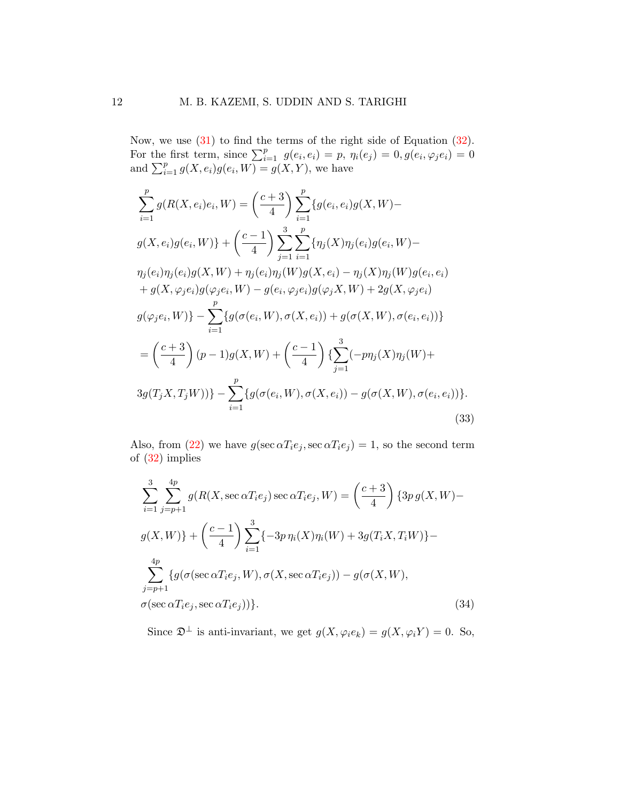Now, we use [\(31\)](#page-10-0) to find the terms of the right side of Equation [\(32\)](#page-10-1). For the first term, since  $\sum_{i=1}^p g(e_i, e_i) = p$ ,  $\eta_i(e_j) = 0, g(e_i, \varphi_j e_i) = 0$ and  $\sum_{i=1}^p g(X, e_i)g(e_i, W) = g(X, Y)$ , we have

$$
\sum_{i=1}^{p} g(R(X, e_i)e_i, W) = \left(\frac{c+3}{4}\right) \sum_{i=1}^{p} \{g(e_i, e_i)g(X, W) - g(X, e_i)g(e_i, W)\} + \left(\frac{c-1}{4}\right) \sum_{j=1}^{3} \sum_{i=1}^{p} \{\eta_j(X)\eta_j(e_i)g(e_i, W) - \eta_j(e_i)\eta_j(e_i)g(X, W) + \eta_j(e_i)\eta_j(W)g(X, e_i) - \eta_j(X)\eta_j(W)g(e_i, e_i) + g(X, \varphi_j e_i)g(\varphi_j e_i, W) - g(e_i, \varphi_j e_i)g(\varphi_j X, W) + 2g(X, \varphi_j e_i) g(\varphi_j e_i, W)\} - \sum_{i=1}^{p} \{g(\sigma(e_i, W), \sigma(X, e_i)) + g(\sigma(X, W), \sigma(e_i, e_i))\} = \left(\frac{c+3}{4}\right)(p-1)g(X, W) + \left(\frac{c-1}{4}\right) \sum_{j=1}^{3} (-p\eta_j(X)\eta_j(W) + 3g(T_j X, T_j W))\} - \sum_{i=1}^{p} \{g(\sigma(e_i, W), \sigma(X, e_i)) - g(\sigma(X, W), \sigma(e_i, e_i))\}.
$$
\n(33)

Also, from [\(22\)](#page-8-3) we have  $g(\sec \alpha T_i e_j, \sec \alpha T_i e_j) = 1$ , so the second term of [\(32\)](#page-10-1) implies

<span id="page-11-0"></span>
$$
\sum_{i=1}^{3} \sum_{j=p+1}^{4p} g(R(X, \sec \alpha T_i e_j) \sec \alpha T_i e_j, W) = \left(\frac{c+3}{4}\right) \{3p g(X, W) - g(X, W)\} + \left(\frac{c-1}{4}\right) \sum_{i=1}^{3} \{-3p \eta_i(X)\eta_i(W) + 3g(T_i X, T_i W)\} - \sum_{j=p+1}^{4p} \{g(\sigma(\sec \alpha T_i e_j, W), \sigma(X, \sec \alpha T_i e_j)) - g(\sigma(X, W),
$$
\n
$$
\sigma(\sec \alpha T_i e_j, \sec \alpha T_i e_j))\}.
$$
\n(34)

<span id="page-11-1"></span>Since  $\mathfrak{D}^{\perp}$  is anti-invariant, we get  $g(X, \varphi_i e_k) = g(X, \varphi_i Y) = 0$ . So,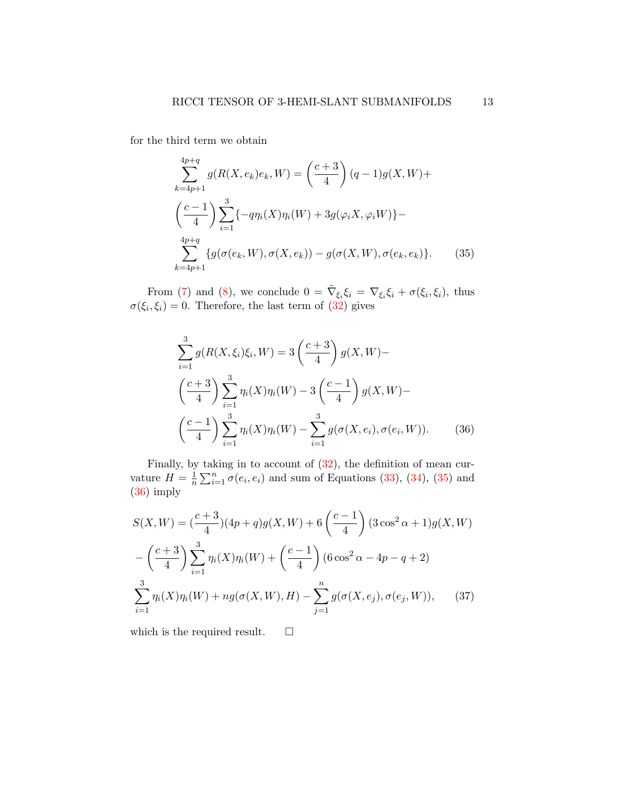for the third term we obtain

<span id="page-12-0"></span>
$$
\sum_{k=4p+1}^{4p+q} g(R(X, e_k)e_k, W) = \left(\frac{c+3}{4}\right)(q-1)g(X, W) +
$$
  

$$
\left(\frac{c-1}{4}\right)\sum_{i=1}^{3} \{-q\eta_i(X)\eta_i(W) + 3g(\varphi_i X, \varphi_i W)\} -
$$
  

$$
\sum_{k=4p+1}^{4p+q} \{g(\sigma(e_k, W), \sigma(X, e_k)) - g(\sigma(X, W), \sigma(e_k, e_k)\}.
$$
 (35)

From [\(7\)](#page-2-0) and [\(8\)](#page-3-3), we conclude  $0 = \tilde{\nabla}_{\xi_i} \xi_i = \nabla_{\xi_i} \xi_i + \sigma(\xi_i, \xi_i)$ , thus  $\sigma(\xi_i, \xi_i) = 0$ . Therefore, the last term of [\(32\)](#page-10-1) gives

<span id="page-12-1"></span>
$$
\sum_{i=1}^{3} g(R(X, \xi_i)\xi_i, W) = 3\left(\frac{c+3}{4}\right)g(X, W) -
$$

$$
\left(\frac{c+3}{4}\right)\sum_{i=1}^{3} \eta_i(X)\eta_i(W) - 3\left(\frac{c-1}{4}\right)g(X, W) -
$$

$$
\left(\frac{c-1}{4}\right)\sum_{i=1}^{3} \eta_i(X)\eta_i(W) - \sum_{i=1}^{3} g(\sigma(X, e_i), \sigma(e_i, W)).
$$
(36)

Finally, by taking in to account of [\(32\)](#page-10-1), the definition of mean curvature  $H=\frac{1}{n}$  $\frac{1}{n}\sum_{i=1}^{n}\sigma(e_i,e_i)$  and sum of Equations [\(33\)](#page-11-0), [\(34\)](#page-11-1), [\(35\)](#page-12-0) and [\(36\)](#page-12-1) imply

$$
S(X, W) = \left(\frac{c+3}{4}\right)(4p+q)g(X, W) + 6\left(\frac{c-1}{4}\right)(3\cos^2\alpha + 1)g(X, W)
$$

$$
-\left(\frac{c+3}{4}\right)\sum_{i=1}^3 \eta_i(X)\eta_i(W) + \left(\frac{c-1}{4}\right)(6\cos^2\alpha - 4p - q + 2)
$$

$$
\sum_{i=1}^3 \eta_i(X)\eta_i(W) + ng(\sigma(X, W), H) - \sum_{j=1}^n g(\sigma(X, e_j), \sigma(e_j, W)), \quad (37)
$$

<span id="page-12-2"></span>which is the required result.  $\qquad \Box$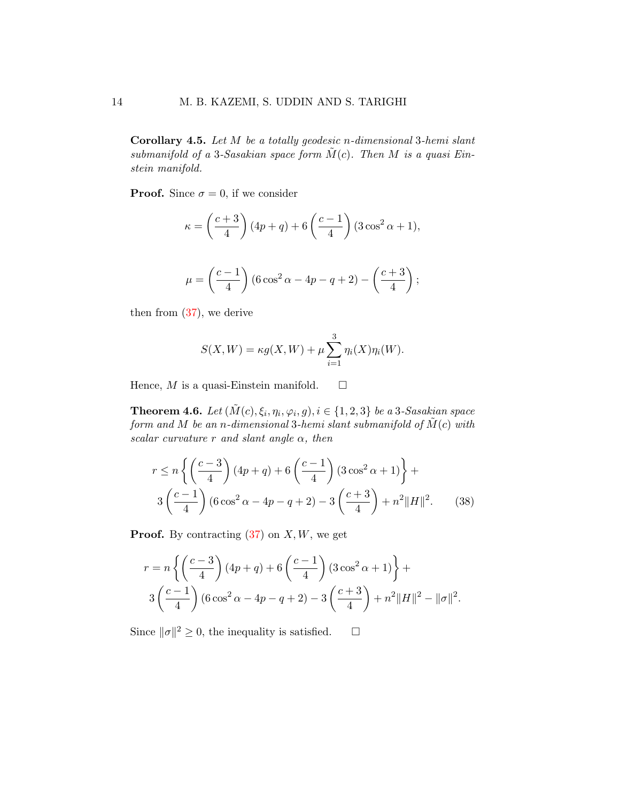Corollary 4.5. Let M be a totally geodesic n-dimensional 3-hemi slant submanifold of a 3-Sasakian space form  $\tilde{M}(c)$ . Then M is a quasi Einstein manifold.

**Proof.** Since  $\sigma = 0$ , if we consider

$$
\kappa = \left(\frac{c+3}{4}\right)(4p+q) + 6\left(\frac{c-1}{4}\right)(3\cos^2\alpha + 1),
$$

$$
\mu = \left(\frac{c-1}{4}\right) (6\cos^2 \alpha - 4p - q + 2) - \left(\frac{c+3}{4}\right);
$$

then from  $(37)$ , we derive

<span id="page-13-0"></span>
$$
S(X, W) = \kappa g(X, W) + \mu \sum_{i=1}^{3} \eta_i(X) \eta_i(W).
$$

Hence, M is a quasi-Einstein manifold.  $\square$ 

**Theorem 4.6.** Let  $(\tilde{M}(c), \xi_i, \eta_i, \varphi_i, g), i \in \{1, 2, 3\}$  be a 3-Sasakian space form and M be an n-dimensional 3-hemi slant submanifold of  $\tilde{M}(c)$  with scalar curvature r and slant angle  $\alpha$ , then

$$
r \le n \left\{ \left( \frac{c-3}{4} \right) (4p+q) + 6 \left( \frac{c-1}{4} \right) (3 \cos^2 \alpha + 1) \right\} +
$$
  
3 
$$
\left( \frac{c-1}{4} \right) (6 \cos^2 \alpha - 4p - q + 2) - 3 \left( \frac{c+3}{4} \right) + n^2 ||H||^2.
$$
 (38)

**Proof.** By contracting  $(37)$  on X, W, we get

$$
r = n \left\{ \left( \frac{c-3}{4} \right) (4p+q) + 6 \left( \frac{c-1}{4} \right) (3 \cos^2 \alpha + 1) \right\} + 3 \left( \frac{c-1}{4} \right) (6 \cos^2 \alpha - 4p - q + 2) - 3 \left( \frac{c+3}{4} \right) + n^2 ||H||^2 - ||\sigma||^2.
$$

Since  $\|\sigma\|^2 \geq 0$ , the inequality is satisfied.  $\square$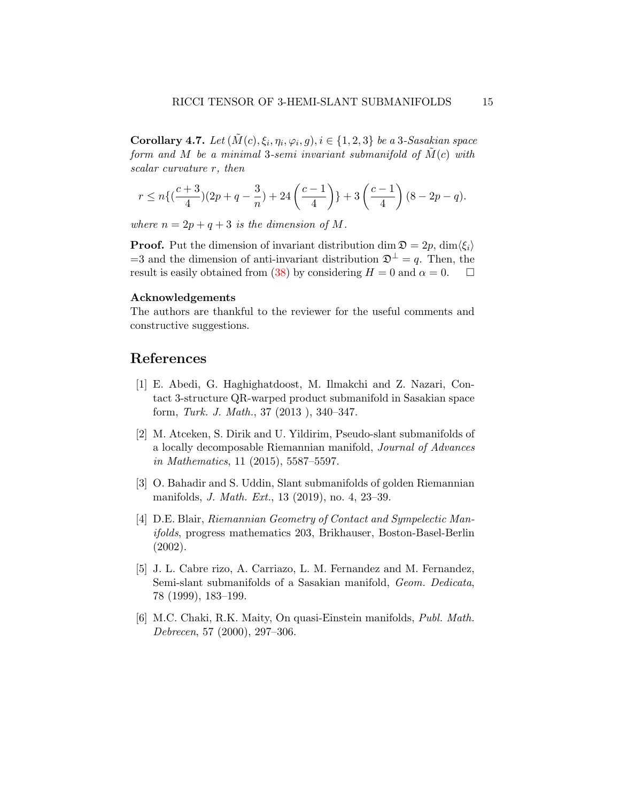Corollary 4.7. Let  $(\tilde{M}(c), \xi_i, \eta_i, \varphi_i, g), i \in \{1, 2, 3\}$  be a 3-Sasakian space form and M be a minimal 3-semi invariant submanifold of  $\overline{M}(c)$  with scalar curvature r, then

$$
r \le n\left\{\left(\frac{c+3}{4}\right)(2p+q-\frac{3}{n})+24\left(\frac{c-1}{4}\right)\right\}+3\left(\frac{c-1}{4}\right)(8-2p-q).
$$

where  $n = 2p + q + 3$  is the dimension of M.

**Proof.** Put the dimension of invariant distribution dim  $\mathfrak{D} = 2p$ , dim $\langle \xi_i \rangle$ =3 and the dimension of anti-invariant distribution  $\mathfrak{D}^{\perp} = q$ . Then, the result is easily obtained from [\(38\)](#page-13-0) by considering  $H = 0$  and  $\alpha = 0$ .  $\Box$ 

### Acknowledgements

The authors are thankful to the reviewer for the useful comments and constructive suggestions.

## References

- <span id="page-14-5"></span>[1] E. Abedi, G. Haghighatdoost, M. Ilmakchi and Z. Nazari, Contact 3-structure QR-warped product submanifold in Sasakian space form, Turk. J. Math., 37 (2013 ), 340–347.
- <span id="page-14-0"></span>[2] M. Atceken, S. Dirik and U. Yildirim, Pseudo-slant submanifolds of a locally decomposable Riemannian manifold, Journal of Advances in Mathematics, 11 (2015), 5587–5597.
- <span id="page-14-1"></span>[3] O. Bahadir and S. Uddin, Slant submanifolds of golden Riemannian manifolds, J. Math. Ext., 13 (2019), no. 4, 23–39.
- <span id="page-14-3"></span>[4] D.E. Blair, Riemannian Geometry of Contact and Sympelectic Manifolds, progress mathematics 203, Brikhauser, Boston-Basel-Berlin (2002).
- <span id="page-14-2"></span>[5] J. L. Cabre rizo, A. Carriazo, L. M. Fernandez and M. Fernandez, Semi-slant submanifolds of a Sasakian manifold, Geom. Dedicata, 78 (1999), 183–199.
- <span id="page-14-4"></span>[6] M.C. Chaki, R.K. Maity, On quasi-Einstein manifolds, Publ. Math. Debrecen, 57 (2000), 297–306.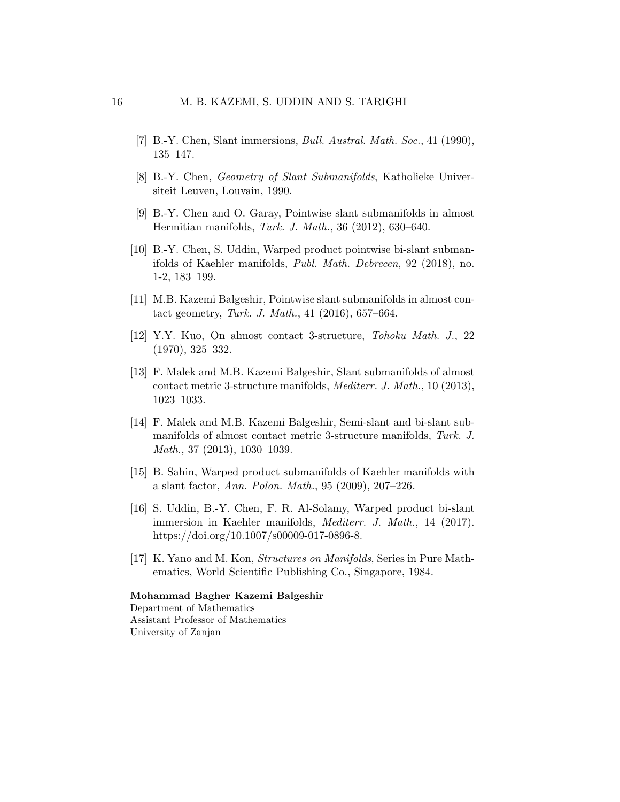- <span id="page-15-0"></span>[7] B.-Y. Chen, Slant immersions, *Bull. Austral. Math. Soc.*, 41 (1990), 135–147.
- <span id="page-15-1"></span>[8] B.-Y. Chen, Geometry of Slant Submanifolds, Katholieke Universiteit Leuven, Louvain, 1990.
- <span id="page-15-2"></span>[9] B.-Y. Chen and O. Garay, Pointwise slant submanifolds in almost Hermitian manifolds, Turk. J. Math., 36 (2012), 630–640.
- <span id="page-15-6"></span>[10] B.-Y. Chen, S. Uddin, Warped product pointwise bi-slant submanifolds of Kaehler manifolds, Publ. Math. Debrecen, 92 (2018), no. 1-2, 183–199.
- <span id="page-15-10"></span>[11] M.B. Kazemi Balgeshir, Pointwise slant submanifolds in almost contact geometry, Turk. J. Math., 41 (2016), 657–664.
- <span id="page-15-8"></span>[12] Y.Y. Kuo, On almost contact 3-structure, Tohoku Math. J., 22 (1970), 325–332.
- <span id="page-15-7"></span>[13] F. Malek and M.B. Kazemi Balgeshir, Slant submanifolds of almost contact metric 3-structure manifolds, Mediterr. J. Math., 10 (2013), 1023–1033.
- <span id="page-15-3"></span>[14] F. Malek and M.B. Kazemi Balgeshir, Semi-slant and bi-slant submanifolds of almost contact metric 3-structure manifolds, Turk. J. Math., 37 (2013), 1030–1039.
- <span id="page-15-4"></span>[15] B. Sahin, Warped product submanifolds of Kaehler manifolds with a slant factor, Ann. Polon. Math., 95 (2009), 207–226.
- <span id="page-15-5"></span>[16] S. Uddin, B.-Y. Chen, F. R. Al-Solamy, Warped product bi-slant immersion in Kaehler manifolds, *Mediterr. J. Math.*, 14 (2017). https://doi.org/10.1007/s00009-017-0896-8.
- <span id="page-15-9"></span>[17] K. Yano and M. Kon, Structures on Manifolds, Series in Pure Mathematics, World Scientific Publishing Co., Singapore, 1984.

### Mohammad Bagher Kazemi Balgeshir

Department of Mathematics Assistant Professor of Mathematics University of Zanjan